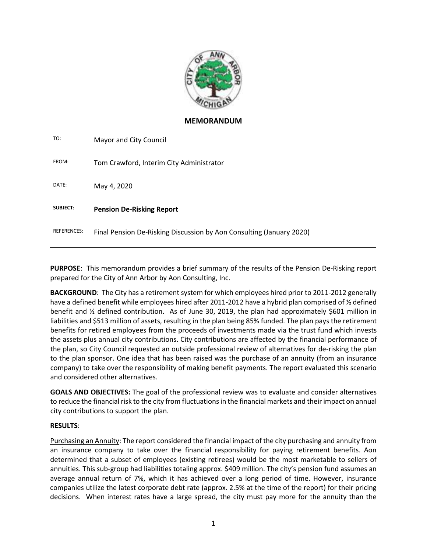

## **MEMORANDUM**

| Mayor and City Council                                               |
|----------------------------------------------------------------------|
| Tom Crawford, Interim City Administrator                             |
| May 4, 2020                                                          |
| <b>Pension De-Risking Report</b>                                     |
| Final Pension De-Risking Discussion by Aon Consulting (January 2020) |
|                                                                      |

**PURPOSE**: This memorandum provides a brief summary of the results of the Pension De-Risking report prepared for the City of Ann Arbor by Aon Consulting, Inc.

**BACKGROUND**: The City has a retirement system for which employees hired prior to 2011-2012 generally have a defined benefit while employees hired after 2011-2012 have a hybrid plan comprised of % defined benefit and ½ defined contribution. As of June 30, 2019, the plan had approximately \$601 million in liabilities and \$513 million of assets, resulting in the plan being 85% funded. The plan pays the retirement benefits for retired employees from the proceeds of investments made via the trust fund which invests the assets plus annual city contributions. City contributions are affected by the financial performance of the plan, so City Council requested an outside professional review of alternatives for de-risking the plan to the plan sponsor. One idea that has been raised was the purchase of an annuity (from an insurance company) to take over the responsibility of making benefit payments. The report evaluated this scenario and considered other alternatives.

**GOALS AND OBJECTIVES:** The goal of the professional review was to evaluate and consider alternatives to reduce the financial risk to the city from fluctuations in the financial markets and their impact on annual city contributions to support the plan.

## **RESULTS**:

Purchasing an Annuity: The report considered the financial impact of the city purchasing and annuity from an insurance company to take over the financial responsibility for paying retirement benefits. Aon determined that a subset of employees (existing retirees) would be the most marketable to sellers of annuities. This sub-group had liabilities totaling approx. \$409 million. The city's pension fund assumes an average annual return of 7%, which it has achieved over a long period of time. However, insurance companies utilize the latest corporate debt rate (approx. 2.5% at the time of the report) for their pricing decisions. When interest rates have a large spread, the city must pay more for the annuity than the